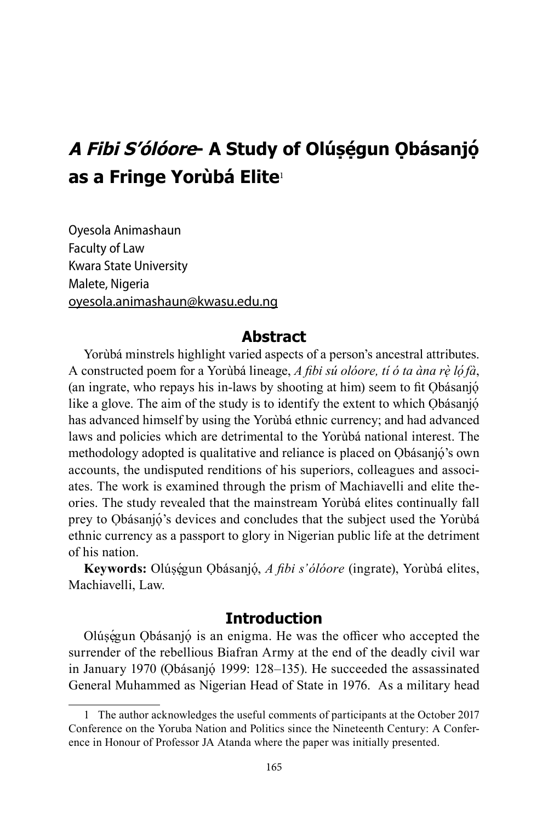# **A Fibi S'ólóore- A Study of Olúṣẹ́gun Ọbásanjọ́ as a Fringe Yorùbá Elite**<sup>1</sup>

Oyesola Animashaun Faculty of Law Kwara State University Malete, Nigeria oyesola.animashaun@kwasu.edu.ng

### **Abstract**

Yorùbá minstrels highlight varied aspects of a person's ancestral attributes. A constructed poem for a Yorùbá lineage, *A fibi sú olóore, tí ó ta àna rẹ̀ lọ́fà*, (an ingrate, who repays his in-laws by shooting at him) seem to fit Ọbásanjọ́ like a glove. The aim of the study is to identify the extent to which Obásanjó has advanced himself by using the Yorùbá ethnic currency; and had advanced laws and policies which are detrimental to the Yorùbá national interest. The methodology adopted is qualitative and reliance is placed on Ọbásanjọ́ 's own accounts, the undisputed renditions of his superiors, colleagues and associates. The work is examined through the prism of Machiavelli and elite theories. The study revealed that the mainstream Yorùbá elites continually fall prey to Ọbásanjọ́ 's devices and concludes that the subject used the Yorùbá ethnic currency as a passport to glory in Nigerian public life at the detriment of his nation.

Keywords: Olúṣẹ́gun Ọbásanjọ́, *A fibi s'ólóore* (ingrate), Yorùbá elites, Machiavelli, Law.

### **Introduction**

Olúségun Obásanjó is an enigma. He was the officer who accepted the surrender of the rebellious Biafran Army at the end of the deadly civil war in January 1970 (Ọbásanjọ́ 1999: 128–135). He succeeded the assassinated General Muhammed as Nigerian Head of State in 1976. As a military head

<sup>1</sup> The author acknowledges the useful comments of participants at the October 2017 Conference on the Yoruba Nation and Politics since the Nineteenth Century: A Conference in Honour of Professor JA Atanda where the paper was initially presented.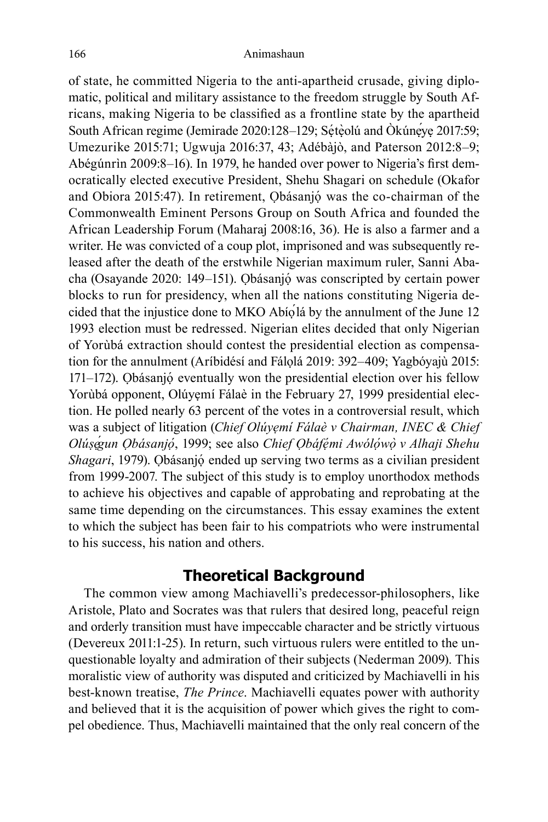of state, he committed Nigeria to the anti-apartheid crusade, giving diplomatic, political and military assistance to the freedom struggle by South Africans, making Nigeria to be classified as a frontline state by the apartheid South African regime (Jemirade 2020:128–129; Sétèolú and Ókúneye 2017:59; Umezurike 2015:71; Ugwuja 2016:37, 43; Adébàjò, and Paterson 2012:8–9; Abégúnrìn 2009:8–16). In 1979, he handed over power to Nigeria's first democratically elected executive President, Shehu Shagari on schedule (Okafor and Obiora 2015:47). In retirement, Ọbásanjọ́ was the co-chairman of the Commonwealth Eminent Persons Group on South Africa and founded the African Leadership Forum (Maharaj 2008:16, 36). He is also a farmer and a writer. He was convicted of a coup plot, imprisoned and was subsequently released after the death of the erstwhile Nigerian maximum ruler, Sanni Abacha (Osayande 2020: 149-151). Ọbásanjó was conscripted by certain power blocks to run for presidency, when all the nations constituting Nigeria decided that the injustice done to MKO Abíọ́lá by the annulment of the June 12 1993 election must be redressed. Nigerian elites decided that only Nigerian of Yorùbá extraction should contest the presidential election as compensation for the annulment (Aríbidésí and Fálọlá 2019: 392–409; Yagbóyajù 2015: 171–172). Ọbásanjọ́ eventually won the presidential election over his fellow Yorùbá opponent, Olúyẹmí Fálaè in the February 27, 1999 presidential election. He polled nearly 63 percent of the votes in a controversial result, which was a subject of litigation (*Chief Olúyẹmí Fálaè v Chairman, INEC & Chief Olúṣẹ́gun Ọbásanjọ́* , 1999; see also *Chief Ọbáfẹ́mi Awólọ́ wọ̀ v Alhaji Shehu Shagari*, 1979). Ọbásanjọ́ ended up serving two terms as a civilian president from 1999-2007. The subject of this study is to employ unorthodox methods to achieve his objectives and capable of approbating and reprobating at the same time depending on the circumstances. This essay examines the extent to which the subject has been fair to his compatriots who were instrumental to his success, his nation and others.

## **Theoretical Background**

The common view among Machiavelli's predecessor-philosophers, like Aristole, Plato and Socrates was that rulers that desired long, peaceful reign and orderly transition must have impeccable character and be strictly virtuous (Devereux 2011:1-25). In return, such virtuous rulers were entitled to the unquestionable loyalty and admiration of their subjects (Nederman 2009). This moralistic view of authority was disputed and criticized by Machiavelli in his best-known treatise, *The Prince*. Machiavelli equates power with authority and believed that it is the acquisition of power which gives the right to compel obedience. Thus, Machiavelli maintained that the only real concern of the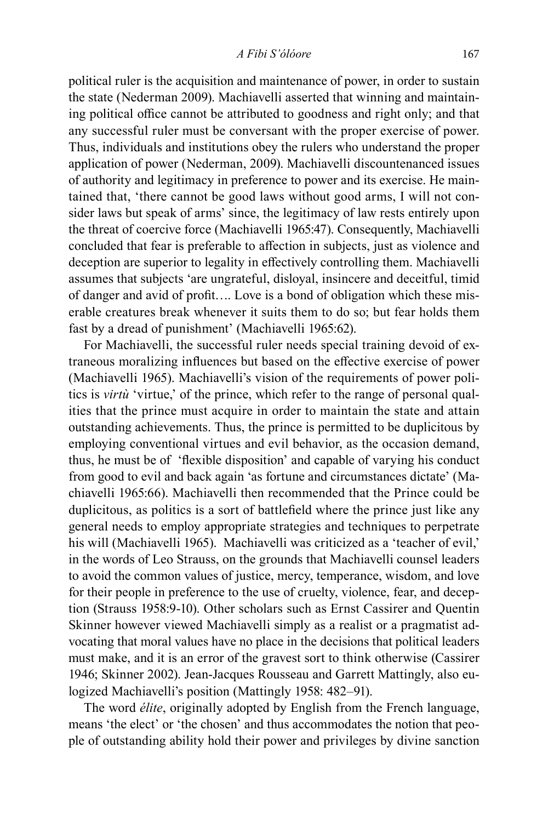political ruler is the acquisition and maintenance of power, in order to sustain the state (Nederman 2009). Machiavelli asserted that winning and maintaining political office cannot be attributed to goodness and right only; and that any successful ruler must be conversant with the proper exercise of power. Thus, individuals and institutions obey the rulers who understand the proper application of power (Nederman, 2009). Machiavelli discountenanced issues of authority and legitimacy in preference to power and its exercise. He maintained that, 'there cannot be good laws without good arms, I will not consider laws but speak of arms' since, the legitimacy of law rests entirely upon the threat of coercive force (Machiavelli 1965:47). Consequently, Machiavelli concluded that fear is preferable to affection in subjects, just as violence and deception are superior to legality in effectively controlling them. Machiavelli assumes that subjects 'are ungrateful, disloyal, insincere and deceitful, timid of danger and avid of profit…. Love is a bond of obligation which these miserable creatures break whenever it suits them to do so; but fear holds them fast by a dread of punishment' (Machiavelli 1965:62).

For Machiavelli, the successful ruler needs special training devoid of extraneous moralizing influences but based on the effective exercise of power (Machiavelli 1965). Machiavelli's vision of the requirements of power politics is *virtù* 'virtue,' of the prince, which refer to the range of personal qualities that the prince must acquire in order to maintain the state and attain outstanding achievements. Thus, the prince is permitted to be duplicitous by employing conventional virtues and evil behavior, as the occasion demand, thus, he must be of 'flexible disposition' and capable of varying his conduct from good to evil and back again 'as fortune and circumstances dictate' (Machiavelli 1965:66). Machiavelli then recommended that the Prince could be duplicitous, as politics is a sort of battlefield where the prince just like any general needs to employ appropriate strategies and techniques to perpetrate his will (Machiavelli 1965). Machiavelli was criticized as a 'teacher of evil,' in the words of Leo Strauss, on the grounds that Machiavelli counsel leaders to avoid the common values of justice, mercy, temperance, wisdom, and love for their people in preference to the use of cruelty, violence, fear, and deception (Strauss 1958:9-10). Other scholars such as Ernst Cassirer and Quentin Skinner however viewed Machiavelli simply as a realist or a pragmatist advocating that moral values have no place in the decisions that political leaders must make, and it is an error of the gravest sort to think otherwise (Cassirer 1946; Skinner 2002). Jean-Jacques Rousseau and Garrett Mattingly, also eulogized Machiavelli's position (Mattingly 1958: 482–91).

The word *élite*, originally adopted by English from the French language, means 'the elect' or 'the chosen' and thus accommodates the notion that people of outstanding ability hold their power and privileges by divine sanction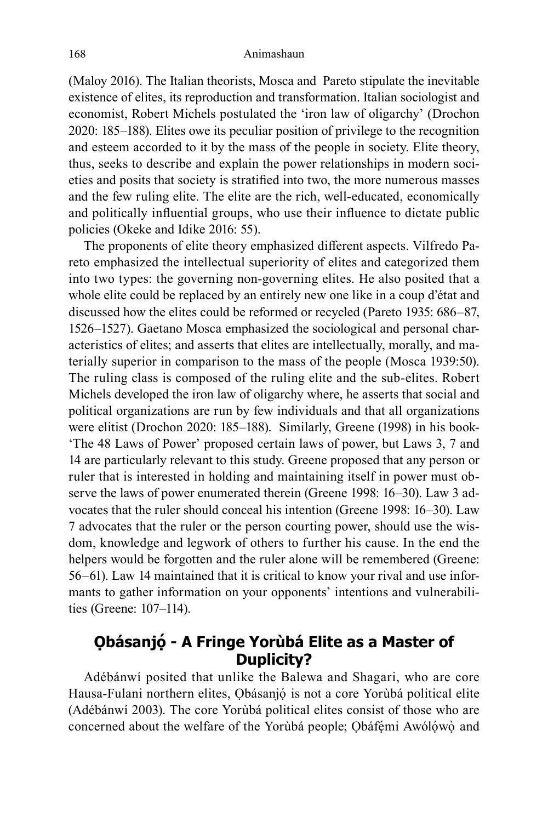(Maloy 2016). The Italian theorists, Mosca and Pareto stipulate the inevitable existence of elites, its reproduction and transformation. Italian sociologist and economist, Robert Michels postulated the 'iron law of oligarchy' (Drochon 2020: 185–188). Elites owe its peculiar position of privilege to the recognition and esteem accorded to it by the mass of the people in society. Elite theory, thus, seeks to describe and explain the power relationships in modern societies and posits that society is stratified into two, the more numerous masses and the few ruling elite. The elite are the rich, well-educated, economically and politically influential groups, who use their influence to dictate public policies (Okeke and Idike 2016: 55).

The proponents of elite theory emphasized different aspects. Vilfredo Pareto emphasized the intellectual superiority of elites and categorized them into two types: the governing non-governing elites. He also posited that a whole elite could be replaced by an entirely new one like in a coup d'état and discussed how the elites could be reformed or recycled (Pareto 1935: 686–87, 1526–1527). Gaetano Mosca emphasized the sociological and personal characteristics of elites; and asserts that elites are intellectually, morally, and materially superior in comparison to the mass of the people (Mosca 1939:50). The ruling class is composed of the ruling elite and the sub-elites. Robert Michels developed the iron law of oligarchy where, he asserts that social and political organizations are run by few individuals and that all organizations were elitist (Drochon 2020: 185–188). Similarly, Greene (1998) in his book- 'The 48 Laws of Power' proposed certain laws of power, but Laws 3, 7 and 14 are particularly relevant to this study. Greene proposed that any person or ruler that is interested in holding and maintaining itself in power must observe the laws of power enumerated therein (Greene 1998: 16–30). Law 3 advocates that the ruler should conceal his intention (Greene 1998: 16–30). Law 7 advocates that the ruler or the person courting power, should use the wisdom, knowledge and legwork of others to further his cause. In the end the helpers would be forgotten and the ruler alone will be remembered (Greene: 56–61). Law 14 maintained that it is critical to know your rival and use informants to gather information on your opponents' intentions and vulnerabilities (Greene: 107–114).

# **Ọbásanjọ́ - A Fringe Yorùbá Elite as a Master of Duplicity?**

Adébánwí posited that unlike the Balewa and Shagari, who are core Hausa-Fulani northern elites, Ọbásanjọ́ is not a core Yorùbá political elite (Adébánwí 2003). The core Yorùbá political elites consist of those who are concerned about the welfare of the Yorùbá people; Obáfémi Awólówò and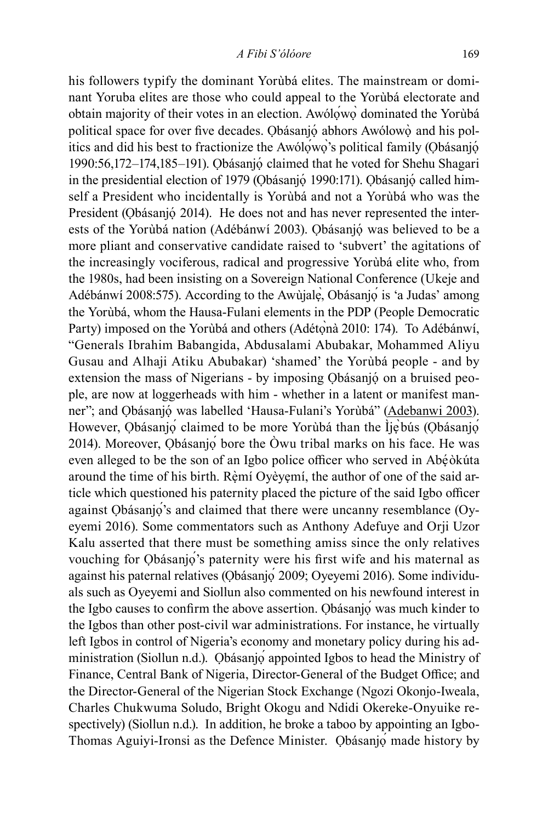his followers typify the dominant Yorùbá elites. The mainstream or dominant Yoruba elites are those who could appeal to the Yorùbá electorate and obtain majority of their votes in an election. Awólọ́wọ̀ dominated the Yorùbá political space for over five decades. Obásanjó abhors Awólowò and his politics and did his best to fractionize the Awólọ́wọ̀'s political family (Ọbásanjọ́ 1990:56,172–174,185–191). Ọbásanjọ́ claimed that he voted for Shehu Shagari in the presidential election of 1979 (Obásanjó 1990:171). Obásanjó called himself a President who incidentally is Yorùbá and not a Yorùbá who was the President (Obásanjó 2014). He does not and has never represented the interests of the Yorùbá nation (Adébánwí 2003). Ọbásanjọ́ was believed to be a more pliant and conservative candidate raised to 'subvert' the agitations of the increasingly vociferous, radical and progressive Yorùbá elite who, from the 1980s, had been insisting on a Sovereign National Conference (Ukeje and Adébánwí 2008:575). According to the Awùjalẹ̀, Obásanjọ́ is 'a Judas' among the Yorùbá, whom the Hausa-Fulani elements in the PDP (People Democratic Party) imposed on the Yorùbá and others (Adétonà 2010: 174). To Adébánwí, "Generals Ibrahim Babangida, Abdusalami Abubakar, Mohammed Aliyu Gusau and Alhaji Atiku Abubakar) 'shamed' the Yorùbá people - and by extension the mass of Nigerians - by imposing Qbásanjó on a bruised people, are now at loggerheads with him - whether in a latent or manifest manner"; and Ọbásanjọ́ was labelled 'Hausa-Fulani's Yorùbá" (Adebanwi 2003). However, Ọbásanjọ claimed to be more Yorùbá than the Ìjẹ̀bús (Ọbásanjọ́ 2014). Moreover, Ọbásanjọ́ bore the Òwu tribal marks on his face. He was even alleged to be the son of an Igbo police officer who served in Abẹ́òkúta around the time of his birth. Rèmí Oyèyẹmí, the author of one of the said article which questioned his paternity placed the picture of the said Igbo officer against Ọbásanjọ́'s and claimed that there were uncanny resemblance (Oyeyemi 2016). Some commentators such as Anthony Adefuye and Orji Uzor Kalu asserted that there must be something amiss since the only relatives vouching for Ọbásanjọ́'s paternity were his first wife and his maternal as against his paternal relatives (Ọbásanjọ́ 2009; Oyeyemi 2016). Some individuals such as Oyeyemi and Siollun also commented on his newfound interest in the Igbo causes to confirm the above assertion. Ọbásanjọ́ was much kinder to the Igbos than other post-civil war administrations. For instance, he virtually left Igbos in control of Nigeria's economy and monetary policy during his administration (Siollun n.d.). Ọbásanjọ́ appointed Igbos to head the Ministry of Finance, Central Bank of Nigeria, Director-General of the Budget Office; and the Director-General of the Nigerian Stock Exchange (Ngozi Okonjo-Iweala, Charles Chukwuma Soludo, Bright Okogu and Ndidi Okereke-Onyuike respectively) (Siollun n.d.). In addition, he broke a taboo by appointing an Igbo-Thomas Aguiyi-Ironsi as the Defence Minister. Ọbásanjọ́ made history by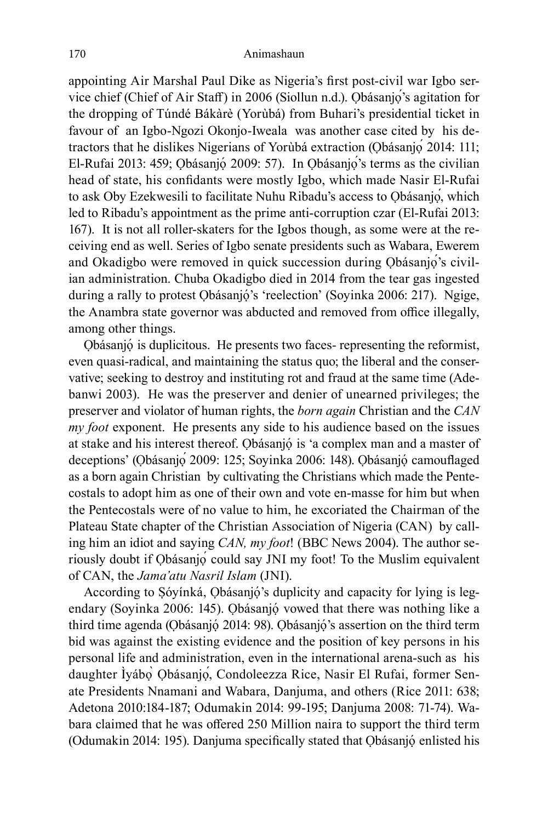appointing Air Marshal Paul Dike as Nigeria's first post-civil war Igbo service chief (Chief of Air Staff) in 2006 (Siollun n.d.). Ọbásanjọ́'s agitation for the dropping of Túndé Bákàrè (Yorùbá) from Buhari's presidential ticket in favour of an Igbo-Ngozi Okonjo-Iweala was another case cited by his detractors that he dislikes Nigerians of Yorùbá extraction (Ọbásanjọ́ 2014: 111; El-Rufai 2013: 459; Ọbásanjọ́ 2009: 57). In Ọbásanjọ́'s terms as the civilian head of state, his confidants were mostly Igbo, which made Nasir El-Rufai to ask Oby Ezekwesili to facilitate Nuhu Ribadu's access to Ọbásanjọ́, which led to Ribadu's appointment as the prime anti-corruption czar (El-Rufai 2013: 167). It is not all roller-skaters for the Igbos though, as some were at the receiving end as well. Series of Igbo senate presidents such as Wabara, Ewerem and Okadigbo were removed in quick succession during Ọbásanjọ́'s civilian administration. Chuba Okadigbo died in 2014 from the tear gas ingested during a rally to protest Ọbásanjọ́ 's 'reelection' (Soyinka 2006: 217). Ngige, the Anambra state governor was abducted and removed from office illegally, among other things.

Ọbásanjọ́ is duplicitous. He presents two faces- representing the reformist, even quasi-radical, and maintaining the status quo; the liberal and the conservative; seeking to destroy and instituting rot and fraud at the same time (Adebanwi 2003). He was the preserver and denier of unearned privileges; the preserver and violator of human rights, the *born again* Christian and the *CAN my foot* exponent. He presents any side to his audience based on the issues at stake and his interest thereof. Ọbásanjọ́ is 'a complex man and a master of deceptions' (Ọbásanjọ́ 2009: 125; Soyinka 2006: 148). Ọbásanjọ́ camouflaged as a born again Christian by cultivating the Christians which made the Pentecostals to adopt him as one of their own and vote en-masse for him but when the Pentecostals were of no value to him, he excoriated the Chairman of the Plateau State chapter of the Christian Association of Nigeria (CAN) by calling him an idiot and saying *CAN, my foot*! (BBC News 2004). The author seriously doubt if Ọbásanjọ́ could say JNI my foot! To the Muslim equivalent of CAN, the *Jama'atu Nasril Islam* (JNI).

According to Ṣóyínká, Ọbásanjọ́ 's duplicity and capacity for lying is legendary (Soyinka 2006: 145). Ọbásanjọ́ vowed that there was nothing like a third time agenda (Ọbásanjọ́ 2014: 98). Ọbásanjọ́ 's assertion on the third term bid was against the existing evidence and the position of key persons in his personal life and administration, even in the international arena-such as his daughter Ìyábọ̀ Ọbásanjọ́, Condoleezza Rice, Nasir El Rufai, former Senate Presidents Nnamani and Wabara, Danjuma, and others (Rice 2011: 638; Adetona 2010:184-187; Odumakin 2014: 99-195; Danjuma 2008: 71-74). Wabara claimed that he was offered 250 Million naira to support the third term (Odumakin 2014: 195). Danjuma specifically stated that Ọbásanjọ́ enlisted his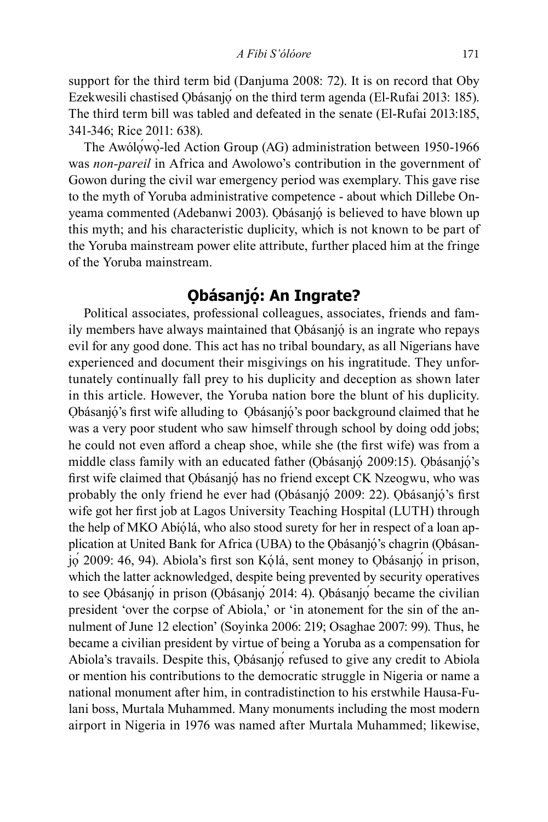support for the third term bid (Danjuma 2008: 72). It is on record that Oby Ezekwesili chastised Obásanjo on the third term agenda (El-Rufai 2013: 185). The third term bill was tabled and defeated in the senate (El-Rufai 2013:185, 341-346; Rice 2011: 638).

The Awólọ́wọ̀-led Action Group (AG) administration between 1950-1966 was *non-pareil* in Africa and Awolowo's contribution in the government of Gowon during the civil war emergency period was exemplary. This gave rise to the myth of Yoruba administrative competence - about which Dillebe Onyeama commented (Adebanwi 2003). Ọbásanjọ́ is believed to have blown up this myth; and his characteristic duplicity, which is not known to be part of the Yoruba mainstream power elite attribute, further placed him at the fringe of the Yoruba mainstream.

### **Ọbásanjọ́: An Ingrate?**

Political associates, professional colleagues, associates, friends and family members have always maintained that Obásanjó is an ingrate who repays evil for any good done. This act has no tribal boundary, as all Nigerians have experienced and document their misgivings on his ingratitude. They unfortunately continually fall prey to his duplicity and deception as shown later in this article. However, the Yoruba nation bore the blunt of his duplicity. Ọbásanjọ́ 's first wife alluding to Ọbásanjọ́ 's poor background claimed that he was a very poor student who saw himself through school by doing odd jobs; he could not even afford a cheap shoe, while she (the first wife) was from a middle class family with an educated father (Obásanjó 2009:15). Obásanjó's first wife claimed that Ọbásanjọ́ has no friend except CK Nzeogwu, who was probably the only friend he ever had (Ọbásanjọ́ 2009: 22). Ọbásanjọ́ 's first wife got her first job at Lagos University Teaching Hospital (LUTH) through the help of MKO Abíọ́lá, who also stood surety for her in respect of a loan application at United Bank for Africa (UBA) to the Ọbásanjọ́ 's chagrin (Ọbásanjọ́ 2009: 46, 94). Abiola's first son Kọ́lá, sent money to Ọbásanjọ́ in prison, which the latter acknowledged, despite being prevented by security operatives to see Ọbásanjọ́ in prison (Ọbásanjọ́ 2014: 4). Ọbásanjọ́ became the civilian president 'over the corpse of Abiola,' or 'in atonement for the sin of the annulment of June 12 election' (Soyinka 2006: 219; Osaghae 2007: 99). Thus, he became a civilian president by virtue of being a Yoruba as a compensation for Abiola's travails. Despite this, Ọbásanjọ́ refused to give any credit to Abiola or mention his contributions to the democratic struggle in Nigeria or name a national monument after him, in contradistinction to his erstwhile Hausa-Fulani boss, Murtala Muhammed. Many monuments including the most modern airport in Nigeria in 1976 was named after Murtala Muhammed; likewise,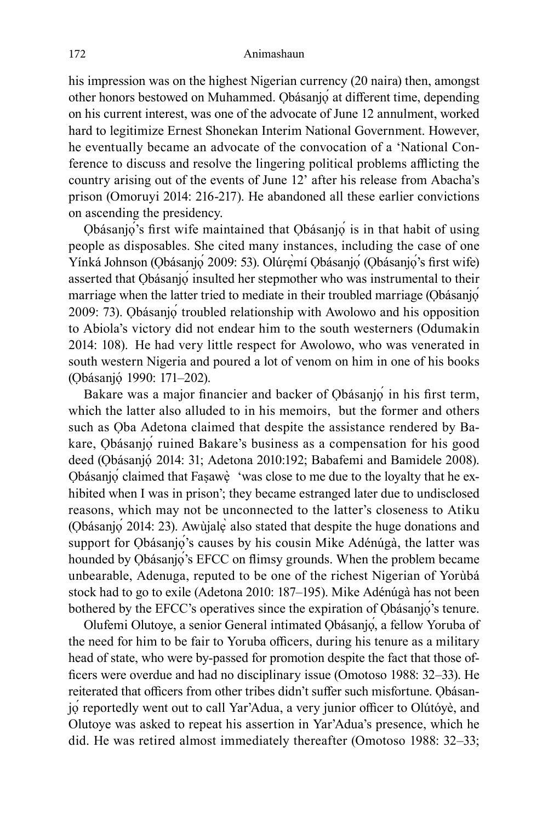his impression was on the highest Nigerian currency (20 naira) then, amongst other honors bestowed on Muhammed. Ọbásanjọ́ at different time, depending on his current interest, was one of the advocate of June 12 annulment, worked hard to legitimize Ernest Shonekan Interim National Government. However, he eventually became an advocate of the convocation of a 'National Conference to discuss and resolve the lingering political problems afflicting the country arising out of the events of June 12' after his release from Abacha's prison (Omoruyi 2014: 216-217). He abandoned all these earlier convictions on ascending the presidency.

Ọbásanjọ́'s first wife maintained that Ọbásanjọ́ is in that habit of using people as disposables. She cited many instances, including the case of one Yínká Johnson (Ọbásanjọ́ 2009: 53). Olúrẹ̀mí Ọbásanjọ́ (Ọbásanjọ́'s first wife) asserted that Ọbásanjọ́ insulted her stepmother who was instrumental to their marriage when the latter tried to mediate in their troubled marriage (Obásanjó 2009: 73). Ọbásanjọ́ troubled relationship with Awolowo and his opposition to Abiola's victory did not endear him to the south westerners (Odumakin 2014: 108). He had very little respect for Awolowo, who was venerated in south western Nigeria and poured a lot of venom on him in one of his books (Ọbásanjọ́ 1990: 171–202).

Bakare was a major financier and backer of Ọbásanjọ́ in his first term, which the latter also alluded to in his memoirs, but the former and others such as Ọba Adetona claimed that despite the assistance rendered by Bakare, Ọbásanjọ́ ruined Bakare's business as a compensation for his good deed (Ọbásanjọ́ 2014: 31; Adetona 2010:192; Babafemi and Bamidele 2008). Ọbásanjọ́ claimed that Faṣawẹ̀ 'was close to me due to the loyalty that he exhibited when I was in prison'; they became estranged later due to undisclosed reasons, which may not be unconnected to the latter's closeness to Atiku (Ọbásanjọ́ 2014: 23). Awùjalẹ̀ also stated that despite the huge donations and support for Ọbásanjọ<sup>'</sup>s causes by his cousin Mike Adénúgà, the latter was hounded by Ọbásanjọ́'s EFCC on flimsy grounds. When the problem became unbearable, Adenuga, reputed to be one of the richest Nigerian of Yorùbá stock had to go to exile (Adetona 2010: 187–195). Mike Adénúgà has not been bothered by the EFCC's operatives since the expiration of Obásanjọ<sup>'</sup>s tenure.

Olufemi Olutoye, a senior General intimated Ọbásanjọ́, a fellow Yoruba of the need for him to be fair to Yoruba officers, during his tenure as a military head of state, who were by-passed for promotion despite the fact that those officers were overdue and had no disciplinary issue (Omotoso 1988: 32–33). He reiterated that officers from other tribes didn't suffer such misfortune. Ọbásanjọ́ reportedly went out to call Yar'Adua, a very junior officer to Olútóyè, and Olutoye was asked to repeat his assertion in Yar'Adua's presence, which he did. He was retired almost immediately thereafter (Omotoso 1988: 32–33;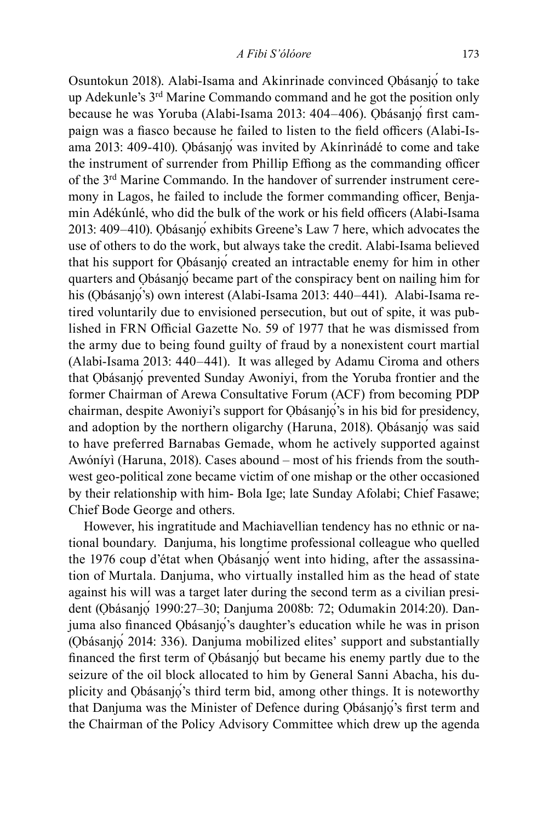Osuntokun 2018). Alabi-Isama and Akinrinade convinced Ọbásanjọ́ to take up Adekunle's 3rd Marine Commando command and he got the position only because he was Yoruba (Alabi-Isama 2013: 404–406). Ọbásanjọ́ first campaign was a fiasco because he failed to listen to the field officers (Alabi-Isama 2013: 409-410). Ọbásanjọ́ was invited by Akínrìnádé to come and take the instrument of surrender from Phillip Effiong as the commanding officer of the 3rd Marine Commando. In the handover of surrender instrument ceremony in Lagos, he failed to include the former commanding officer, Benjamin Adékúnlé, who did the bulk of the work or his field officers (Alabi-Isama 2013: 409–410). Ọbásanjọ́ exhibits Greene's Law 7 here, which advocates the use of others to do the work, but always take the credit. Alabi-Isama believed that his support for Ọbásanjọ́ created an intractable enemy for him in other quarters and Ọbásanjọ́ became part of the conspiracy bent on nailing him for his (Obásanjo's) own interest (Alabi-Isama 2013: 440–441). Alabi-Isama retired voluntarily due to envisioned persecution, but out of spite, it was published in FRN Official Gazette No. 59 of 1977 that he was dismissed from the army due to being found guilty of fraud by a nonexistent court martial (Alabi-Isama 2013: 440–441). It was alleged by Adamu Ciroma and others that Ọbásanjọ́ prevented Sunday Awoniyi, from the Yoruba frontier and the former Chairman of Arewa Consultative Forum (ACF) from becoming PDP chairman, despite Awoniyi's support for Obásanjo's in his bid for presidency, and adoption by the northern oligarchy (Haruna, 2018). Ọbásanjọ́ was said to have preferred Barnabas Gemade, whom he actively supported against Awóníyì (Haruna, 2018). Cases abound – most of his friends from the southwest geo-political zone became victim of one mishap or the other occasioned by their relationship with him- Bola Ige; late Sunday Afolabi; Chief Fasawe; Chief Bode George and others.

However, his ingratitude and Machiavellian tendency has no ethnic or national boundary. Danjuma, his longtime professional colleague who quelled the 1976 coup d'état when Ọbásanjọ́ went into hiding, after the assassination of Murtala. Danjuma, who virtually installed him as the head of state against his will was a target later during the second term as a civilian president (Ọbásanjọ́ 1990:27–30; Danjuma 2008b: 72; Odumakin 2014:20). Danjuma also financed Ọbásanjọ́'s daughter's education while he was in prison (Ọbásanjọ́ 2014: 336). Danjuma mobilized elites' support and substantially financed the first term of Ọbásanjọ́ but became his enemy partly due to the seizure of the oil block allocated to him by General Sanni Abacha, his duplicity and Ọbásanjọ́'s third term bid, among other things. It is noteworthy that Danjuma was the Minister of Defence during Ọbásanjọ́'s first term and the Chairman of the Policy Advisory Committee which drew up the agenda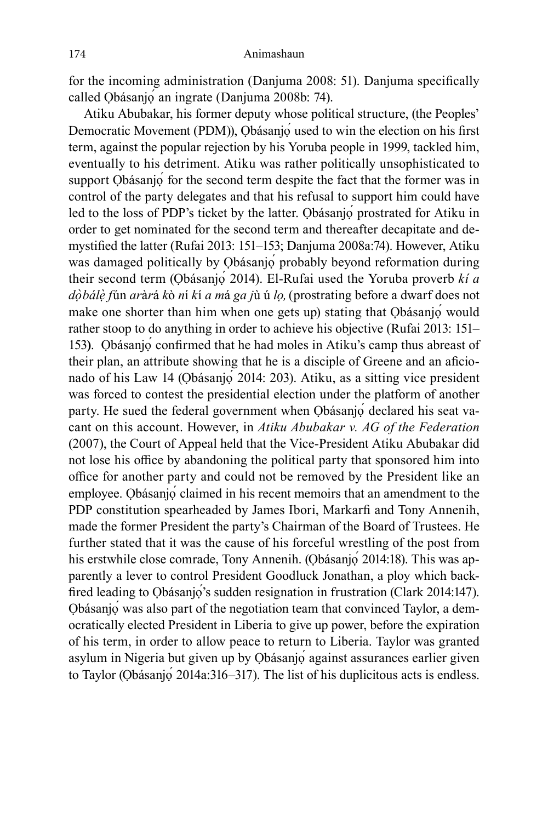for the incoming administration (Danjuma 2008: 51). Danjuma specifically called Ọbásanjọ́ an ingrate (Danjuma 2008b: 74).

Atiku Abubakar, his former deputy whose political structure, (the Peoples' Democratic Movement (PDM)), Ọbásanjọ́ used to win the election on his first term, against the popular rejection by his Yoruba people in 1999, tackled him, eventually to his detriment. Atiku was rather politically unsophisticated to support Ọbásanjọ́ for the second term despite the fact that the former was in control of the party delegates and that his refusal to support him could have led to the loss of PDP's ticket by the latter. Obásanjo prostrated for Atiku in order to get nominated for the second term and thereafter decapitate and demystified the latter (Rufai 2013: 151–153; Danjuma 2008a:74). However, Atiku was damaged politically by Ọbásanjọ́ probably beyond reformation during their second term (Ọbásanjọ́ 2014). El-Rufai used the Yoruba proverb *kí a dọ̀bálẹ̀ f*ún *ar*à*r*á *k*ò *n*í *k*í *a m*á *ga j*ù ú *lọ,*(prostrating before a dwarf does not make one shorter than him when one gets up) stating that Ọbásanjọ́ would rather stoop to do anything in order to achieve his objective (Rufai 2013: 151– 153**)**. Ọbásanjọ́ confirmed that he had moles in Atiku's camp thus abreast of their plan, an attribute showing that he is a disciple of Greene and an aficionado of his Law 14 (Ọbásanjọ́ 2014: 203). Atiku, as a sitting vice president was forced to contest the presidential election under the platform of another party. He sued the federal government when Obásanjo declared his seat vacant on this account. However, in *Atiku Abubakar v. AG of the Federation* (2007), the Court of Appeal held that the Vice-President Atiku Abubakar did not lose his office by abandoning the political party that sponsored him into office for another party and could not be removed by the President like an employee. Obásanjo claimed in his recent memoirs that an amendment to the PDP constitution spearheaded by James Ibori, Markarfi and Tony Annenih, made the former President the party's Chairman of the Board of Trustees. He further stated that it was the cause of his forceful wrestling of the post from his erstwhile close comrade, Tony Annenih. (Qbásanjọ́ 2014:18). This was apparently a lever to control President Goodluck Jonathan, a ploy which backfired leading to Ọbásanjọ́'s sudden resignation in frustration (Clark 2014:147). Ọbásanjọ́ was also part of the negotiation team that convinced Taylor, a democratically elected President in Liberia to give up power, before the expiration of his term, in order to allow peace to return to Liberia. Taylor was granted asylum in Nigeria but given up by Ọbásanjọ́ against assurances earlier given to Taylor (Ọbásanjọ́ 2014a:316–317). The list of his duplicitous acts is endless.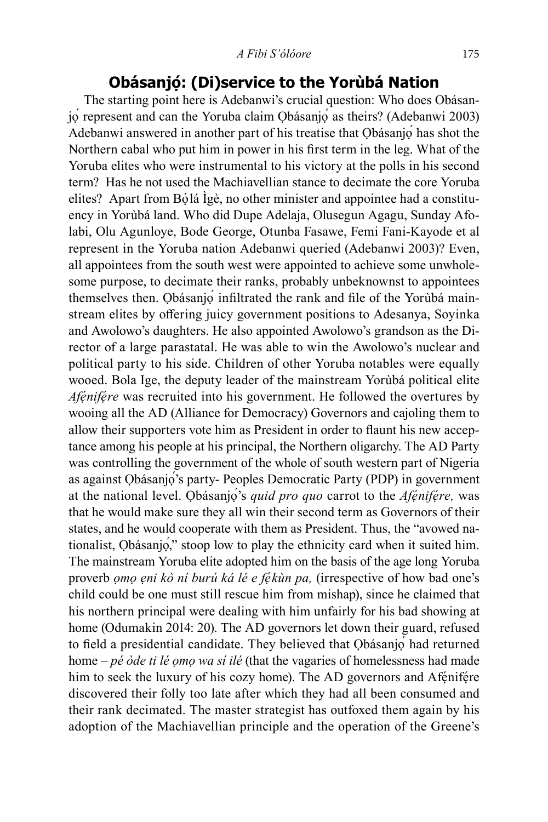### **Obásanjọ́: (Di)service to the Yorùbá Nation**

The starting point here is Adebanwi's crucial question: Who does Obásanjọ́ represent and can the Yoruba claim Ọbásanjọ́ as theirs? (Adebanwi 2003) Adebanwi answered in another part of his treatise that Ọbásanjọ́ has shot the Northern cabal who put him in power in his first term in the leg. What of the Yoruba elites who were instrumental to his victory at the polls in his second term? Has he not used the Machiavellian stance to decimate the core Yoruba elites? Apart from Bọ́lá Ìgè, no other minister and appointee had a constituency in Yorùbá land. Who did Dupe Adelaja, Olusegun Agagu, Sunday Afolabi, Olu Agunloye, Bode George, Otunba Fasawe, Femi Fani-Kayode et al represent in the Yoruba nation Adebanwi queried (Adebanwi 2003)? Even, all appointees from the south west were appointed to achieve some unwholesome purpose, to decimate their ranks, probably unbeknownst to appointees themselves then. Ọbásanjọ́ infiltrated the rank and file of the Yorùbá mainstream elites by offering juicy government positions to Adesanya, Soyinka and Awolowo's daughters. He also appointed Awolowo's grandson as the Director of a large parastatal. He was able to win the Awolowo's nuclear and political party to his side. Children of other Yoruba notables were equally wooed. Bola Ige, the deputy leader of the mainstream Yorùbá political elite *Afẹ́nifẹ́re* was recruited into his government. He followed the overtures by wooing all the AD (Alliance for Democracy) Governors and cajoling them to allow their supporters vote him as President in order to flaunt his new acceptance among his people at his principal, the Northern oligarchy. The AD Party was controlling the government of the whole of south western part of Nigeria as against Ọbásanjọ́'s party- Peoples Democratic Party (PDP) in government at the national level. Ọbásanjọ́'s *quid pro quo* carrot to the *Afẹ́nifẹ́re,* was that he would make sure they all win their second term as Governors of their states, and he would cooperate with them as President. Thus, the "avowed nationalist, Ọbásanjọ́," stoop low to play the ethnicity card when it suited him. The mainstream Yoruba elite adopted him on the basis of the age long Yoruba proverb *ọmọ ẹni kò ní burú ká lé e fẹ́kùn pa,* (irrespective of how bad one's child could be one must still rescue him from mishap), since he claimed that his northern principal were dealing with him unfairly for his bad showing at home (Odumakin 2014: 20). The AD governors let down their guard, refused to field a presidential candidate. They believed that Ọbásanjọ́ had returned home – *pé òde ti lé ọmọ wa sí ilé* (that the vagaries of homelessness had made him to seek the luxury of his cozy home). The AD governors and Afénifére discovered their folly too late after which they had all been consumed and their rank decimated. The master strategist has outfoxed them again by his adoption of the Machiavellian principle and the operation of the Greene's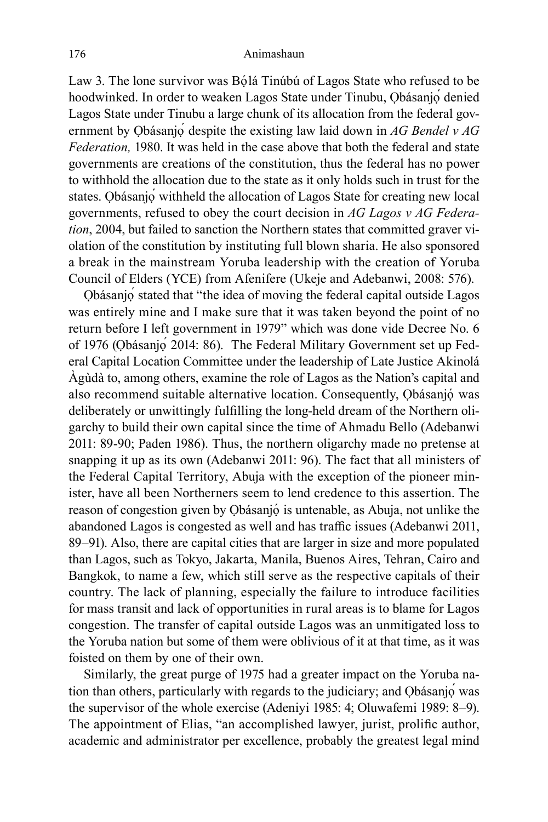Law 3. The lone survivor was Bọ́lá Tinúbú of Lagos State who refused to be hoodwinked. In order to weaken Lagos State under Tinubu, Obásanjo denied Lagos State under Tinubu a large chunk of its allocation from the federal government by Ọbásanjọ́ despite the existing law laid down in *AG Bendel v AG Federation,* 1980. It was held in the case above that both the federal and state governments are creations of the constitution, thus the federal has no power to withhold the allocation due to the state as it only holds such in trust for the states. Ọbásanjọ́ withheld the allocation of Lagos State for creating new local governments, refused to obey the court decision in *AG Lagos v AG Federation*, 2004, but failed to sanction the Northern states that committed graver violation of the constitution by instituting full blown sharia. He also sponsored a break in the mainstream Yoruba leadership with the creation of Yoruba Council of Elders (YCE) from Afenifere (Ukeje and Adebanwi, 2008: 576).

Ọbásanjọ́ stated that "the idea of moving the federal capital outside Lagos was entirely mine and I make sure that it was taken beyond the point of no return before I left government in 1979" which was done vide Decree No. 6 of 1976 (Ọbásanjọ́ 2014: 86). The Federal Military Government set up Federal Capital Location Committee under the leadership of Late Justice Akinolá Àgùdà to, among others, examine the role of Lagos as the Nation's capital and also recommend suitable alternative location. Consequently, Ọbásanjọ́ was deliberately or unwittingly fulfilling the long-held dream of the Northern oligarchy to build their own capital since the time of Ahmadu Bello (Adebanwi 2011: 89-90; Paden 1986). Thus, the northern oligarchy made no pretense at snapping it up as its own (Adebanwi 2011: 96). The fact that all ministers of the Federal Capital Territory, Abuja with the exception of the pioneer minister, have all been Northerners seem to lend credence to this assertion. The reason of congestion given by Ọbásanjọ́ is untenable, as Abuja, not unlike the abandoned Lagos is congested as well and has traffic issues (Adebanwi 2011, 89–91). Also, there are capital cities that are larger in size and more populated than Lagos, such as Tokyo, Jakarta, Manila, Buenos Aires, Tehran, Cairo and Bangkok, to name a few, which still serve as the respective capitals of their country. The lack of planning, especially the failure to introduce facilities for mass transit and lack of opportunities in rural areas is to blame for Lagos congestion. The transfer of capital outside Lagos was an unmitigated loss to the Yoruba nation but some of them were oblivious of it at that time, as it was foisted on them by one of their own.

Similarly, the great purge of 1975 had a greater impact on the Yoruba nation than others, particularly with regards to the judiciary; and Obásanjo was the supervisor of the whole exercise (Adeniyi 1985: 4; Oluwafemi 1989: 8–9). The appointment of Elias, "an accomplished lawyer, jurist, prolific author, academic and administrator per excellence, probably the greatest legal mind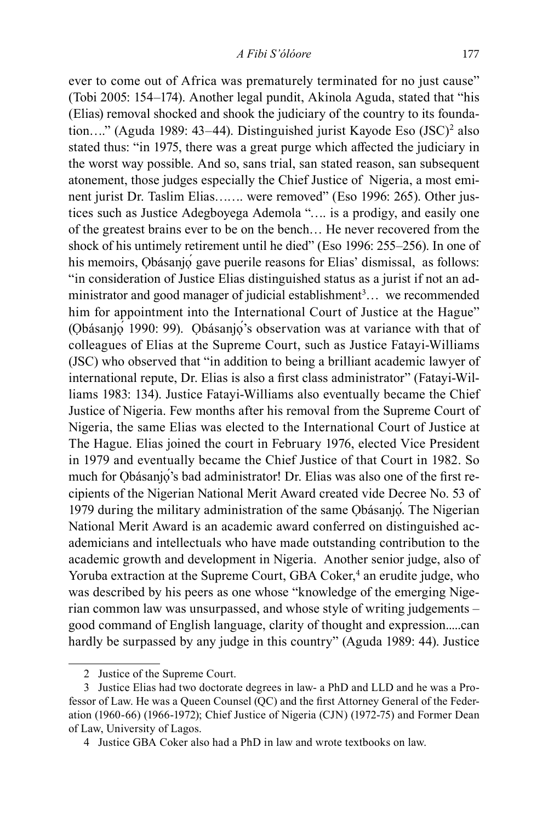ever to come out of Africa was prematurely terminated for no just cause" (Tobi 2005: 154–174). Another legal pundit, Akinola Aguda, stated that "his (Elias) removal shocked and shook the judiciary of the country to its foundation...." (Aguda 1989: 43–44). Distinguished jurist Kayode Eso (JSC)<sup>2</sup> also stated thus: "in 1975, there was a great purge which affected the judiciary in the worst way possible. And so, sans trial, san stated reason, san subsequent atonement, those judges especially the Chief Justice of Nigeria, a most eminent jurist Dr. Taslim Elias……. were removed" (Eso 1996: 265). Other justices such as Justice Adegboyega Ademola "…. is a prodigy, and easily one of the greatest brains ever to be on the bench… He never recovered from the shock of his untimely retirement until he died" (Eso 1996: 255–256). In one of his memoirs, Ọbásanjọ́ gave puerile reasons for Elias' dismissal, as follows: "in consideration of Justice Elias distinguished status as a jurist if not an administrator and good manager of judicial establishment<sup>3</sup>... we recommended him for appointment into the International Court of Justice at the Hague" (Ọbásanjọ́ 1990: 99). Ọbásanjọ́'s observation was at variance with that of colleagues of Elias at the Supreme Court, such as Justice Fatayi-Williams (JSC) who observed that "in addition to being a brilliant academic lawyer of international repute, Dr. Elias is also a first class administrator" (Fatayi-Williams 1983: 134). Justice Fatayi-Williams also eventually became the Chief Justice of Nigeria. Few months after his removal from the Supreme Court of Nigeria, the same Elias was elected to the International Court of Justice at The Hague. Elias joined the court in February 1976, elected Vice President in 1979 and eventually became the Chief Justice of that Court in 1982. So much for Ọbásanjọ́'s bad administrator! Dr. Elias was also one of the first recipients of the Nigerian National Merit Award created vide Decree No. 53 of 1979 during the military administration of the same Ọbásanjọ́. The Nigerian National Merit Award is an academic award conferred on distinguished academicians and intellectuals who have made outstanding contribution to the academic growth and development in Nigeria. Another senior judge, also of Yoruba extraction at the Supreme Court, GBA Coker,<sup>4</sup> an erudite judge, who was described by his peers as one whose "knowledge of the emerging Nigerian common law was unsurpassed, and whose style of writing judgements – good command of English language, clarity of thought and expression.....can hardly be surpassed by any judge in this country" (Aguda 1989: 44). Justice

<sup>2</sup> Justice of the Supreme Court.

<sup>3</sup> Justice Elias had two doctorate degrees in law- a PhD and LLD and he was a Professor of Law. He was a Queen Counsel (QC) and the first Attorney General of the Federation (1960-66) (1966-1972); Chief Justice of Nigeria (CJN) (1972-75) and Former Dean of Law, University of Lagos.

<sup>4</sup> Justice GBA Coker also had a PhD in law and wrote textbooks on law.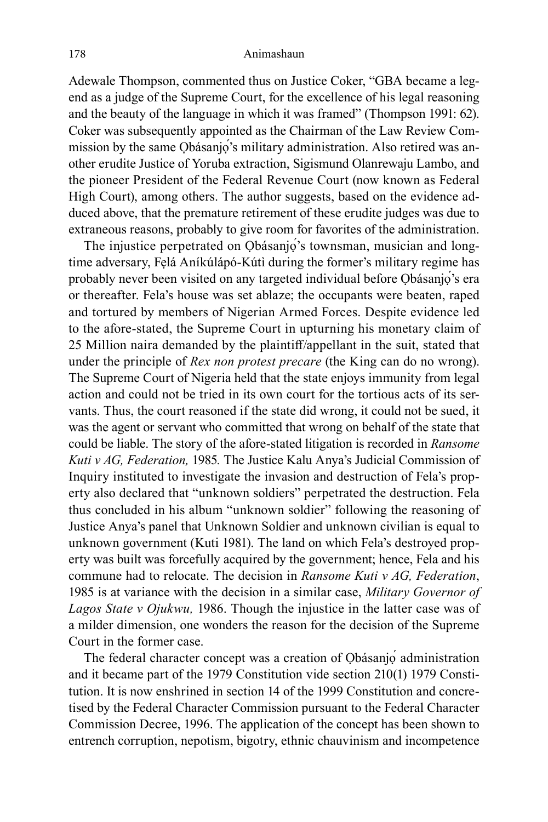#### 178 Animashaun

Adewale Thompson, commented thus on Justice Coker, "GBA became a legend as a judge of the Supreme Court, for the excellence of his legal reasoning and the beauty of the language in which it was framed" (Thompson 1991: 62). Coker was subsequently appointed as the Chairman of the Law Review Commission by the same Ọbásanjọ́'s military administration. Also retired was another erudite Justice of Yoruba extraction, Sigismund Olanrewaju Lambo, and the pioneer President of the Federal Revenue Court (now known as Federal High Court), among others. The author suggests, based on the evidence adduced above, that the premature retirement of these erudite judges was due to extraneous reasons, probably to give room for favorites of the administration.

The injustice perpetrated on Obásanjo's townsman, musician and longtime adversary, Fẹlá Aníkúlápó-Kútì during the former's military regime has probably never been visited on any targeted individual before Ọbásanjọ́'s era or thereafter. Fela's house was set ablaze; the occupants were beaten, raped and tortured by members of Nigerian Armed Forces. Despite evidence led to the afore-stated, the Supreme Court in upturning his monetary claim of 25 Million naira demanded by the plaintiff/appellant in the suit, stated that under the principle of *Rex non protest precare* (the King can do no wrong). The Supreme Court of Nigeria held that the state enjoys immunity from legal action and could not be tried in its own court for the tortious acts of its servants. Thus, the court reasoned if the state did wrong, it could not be sued, it was the agent or servant who committed that wrong on behalf of the state that could be liable. The story of the afore-stated litigation is recorded in *Ransome Kuti v AG, Federation,* 1985*.* The Justice Kalu Anya's Judicial Commission of Inquiry instituted to investigate the invasion and destruction of Fela's property also declared that "unknown soldiers" perpetrated the destruction. Fela thus concluded in his album "unknown soldier" following the reasoning of Justice Anya's panel that Unknown Soldier and unknown civilian is equal to unknown government (Kuti 1981). The land on which Fela's destroyed property was built was forcefully acquired by the government; hence, Fela and his commune had to relocate. The decision in *Ransome Kuti v AG, Federation*, 1985 is at variance with the decision in a similar case, *Military Governor of Lagos State v Ojukwu,* 1986. Though the injustice in the latter case was of a milder dimension, one wonders the reason for the decision of the Supreme Court in the former case.

The federal character concept was a creation of Ọbásanjọ administration and it became part of the 1979 Constitution vide section 210(1) 1979 Constitution. It is now enshrined in section 14 of the 1999 Constitution and concretised by the Federal Character Commission pursuant to the Federal Character Commission Decree, 1996. The application of the concept has been shown to entrench corruption, nepotism, bigotry, ethnic chauvinism and incompetence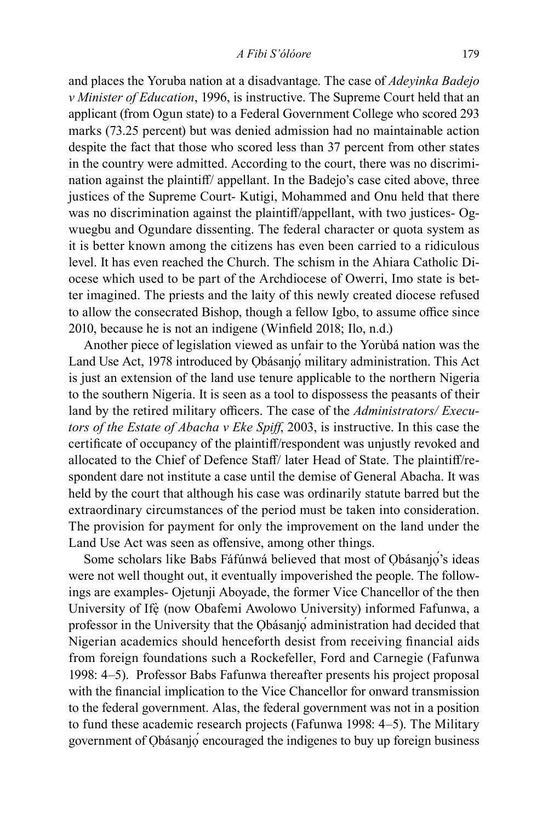and places the Yoruba nation at a disadvantage. The case of *Adeyinka Badejo v Minister of Education*, 1996, is instructive. The Supreme Court held that an applicant (from Ogun state) to a Federal Government College who scored 293 marks (73.25 percent) but was denied admission had no maintainable action despite the fact that those who scored less than 37 percent from other states in the country were admitted. According to the court, there was no discrimination against the plaintiff/ appellant. In the Badejo's case cited above, three justices of the Supreme Court- Kutigi, Mohammed and Onu held that there was no discrimination against the plaintiff/appellant, with two justices- Ogwuegbu and Ogundare dissenting. The federal character or quota system as it is better known among the citizens has even been carried to a ridiculous level. It has even reached the Church. The schism in the Ahiara Catholic Diocese which used to be part of the Archdiocese of Owerri, Imo state is better imagined. The priests and the laity of this newly created diocese refused to allow the consecrated Bishop, though a fellow Igbo, to assume office since 2010, because he is not an indigene (Winfield 2018; Ilo, n.d.)

Another piece of legislation viewed as unfair to the Yorùbá nation was the Land Use Act, 1978 introduced by Obásanjo military administration. This Act is just an extension of the land use tenure applicable to the northern Nigeria to the southern Nigeria. It is seen as a tool to dispossess the peasants of their land by the retired military officers. The case of the *Administrators/ Executors of the Estate of Abacha v Eke Spiff*, 2003, is instructive. In this case the certificate of occupancy of the plaintiff/respondent was unjustly revoked and allocated to the Chief of Defence Staff/ later Head of State. The plaintiff/respondent dare not institute a case until the demise of General Abacha. It was held by the court that although his case was ordinarily statute barred but the extraordinary circumstances of the period must be taken into consideration. The provision for payment for only the improvement on the land under the Land Use Act was seen as offensive, among other things.

Some scholars like Babs Fáfúnwá believed that most of Ọbásanjọ́'s ideas were not well thought out, it eventually impoverished the people. The followings are examples- Ojetunji Aboyade, the former Vice Chancellor of the then University of Ifè (now Obafemi Awolowo University) informed Fafunwa, a professor in the University that the Ọbásanjọ́ administration had decided that Nigerian academics should henceforth desist from receiving financial aids from foreign foundations such a Rockefeller, Ford and Carnegie (Fafunwa 1998: 4–5). Professor Babs Fafunwa thereafter presents his project proposal with the financial implication to the Vice Chancellor for onward transmission to the federal government. Alas, the federal government was not in a position to fund these academic research projects (Fafunwa 1998: 4–5). The Military government of Obásanjo encouraged the indigenes to buy up foreign business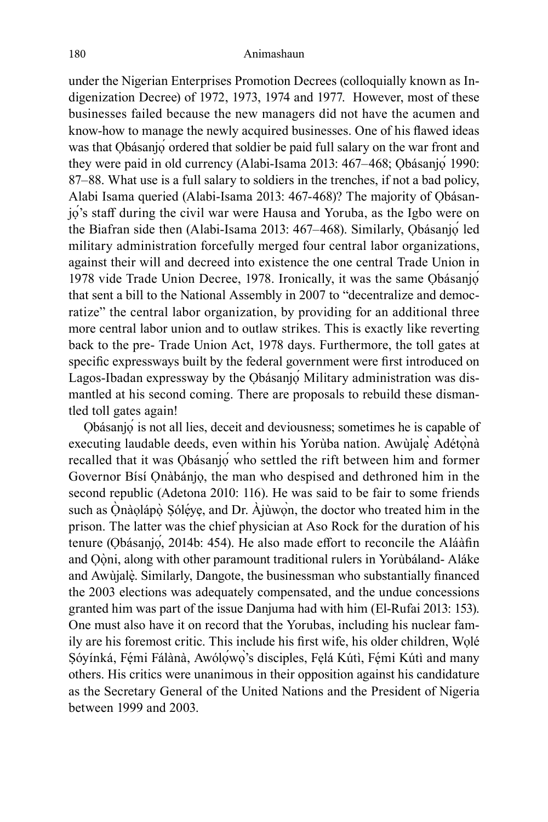under the Nigerian Enterprises Promotion Decrees (colloquially known as Indigenization Decree) of 1972, 1973, 1974 and 1977. However, most of these businesses failed because the new managers did not have the acumen and know-how to manage the newly acquired businesses. One of his flawed ideas was that Obásanjo ordered that soldier be paid full salary on the war front and they were paid in old currency (Alabi-Isama 2013: 467–468; Ọbásanjọ́ 1990: 87–88. What use is a full salary to soldiers in the trenches, if not a bad policy, Alabi Isama queried (Alabi-Isama 2013: 467-468)? The majority of Ọbásanjọ́'s staff during the civil war were Hausa and Yoruba, as the Igbo were on the Biafran side then (Alabi-Isama 2013: 467–468). Similarly, Ọbásanjọ́ led military administration forcefully merged four central labor organizations, against their will and decreed into existence the one central Trade Union in 1978 vide Trade Union Decree, 1978. Ironically, it was the same Ọbásanjọ́ that sent a bill to the National Assembly in 2007 to "decentralize and democratize" the central labor organization, by providing for an additional three more central labor union and to outlaw strikes. This is exactly like reverting back to the pre- Trade Union Act, 1978 days. Furthermore, the toll gates at specific expressways built by the federal government were first introduced on Lagos-Ibadan expressway by the Ọbásanjọ́ Military administration was dismantled at his second coming. There are proposals to rebuild these dismantled toll gates again!

Ọbásanjọ́ is not all lies, deceit and deviousness; sometimes he is capable of executing laudable deeds, even within his Yorùba nation. Awùjalẹ̀ Adétọ̀nà recalled that it was Ọbásanjọ́ who settled the rift between him and former Governor Bísí Ọnàbánjọ, the man who despised and dethroned him in the second republic (Adetona 2010: 116). He was said to be fair to some friends such as Ọ̀nàọlápọ̀ Ṣólẹ́yẹ, and Dr. Àjùwọn, the doctor who treated him in the prison. The latter was the chief physician at Aso Rock for the duration of his tenure (Ọbásanjọ́, 2014b: 454). He also made effort to reconcile the Aláàfin and Ọọ̀ ni, along with other paramount traditional rulers in Yorùbáland- Aláke and Awùjalẹ̀ . Similarly, Dangote, the businessman who substantially financed the 2003 elections was adequately compensated, and the undue concessions granted him was part of the issue Danjuma had with him (El-Rufai 2013: 153). One must also have it on record that the Yorubas, including his nuclear family are his foremost critic. This include his first wife, his older children, Wọlé Sóyínká, Fémi Fálànà, Awólowo's disciples, Felá Kútì, Fémi Kútì and many others. His critics were unanimous in their opposition against his candidature as the Secretary General of the United Nations and the President of Nigeria between 1999 and 2003.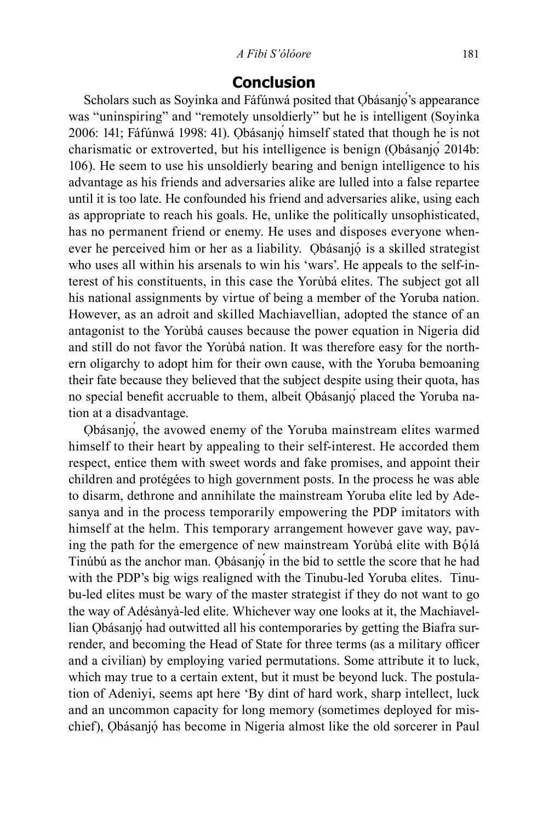#### *A Fibi S'ólóore* 181

### **Conclusion**

Scholars such as Soyinka and Fáfúnwá posited that Obásanjo's appearance was "uninspiring" and "remotely unsoldierly" but he is intelligent (Soyinka 2006: 141; Fáfúnwá 1998: 41). Ọbásanjọ́ himself stated that though he is not charismatic or extroverted, but his intelligence is benign (Ọbásanjọ́ 2014b: 106). He seem to use his unsoldierly bearing and benign intelligence to his advantage as his friends and adversaries alike are lulled into a false repartee until it is too late. He confounded his friend and adversaries alike, using each as appropriate to reach his goals. He, unlike the politically unsophisticated, has no permanent friend or enemy. He uses and disposes everyone whenever he perceived him or her as a liability. Ọbásanjọ́ is a skilled strategist who uses all within his arsenals to win his 'wars'. He appeals to the self-interest of his constituents, in this case the Yorùbá elites. The subject got all his national assignments by virtue of being a member of the Yoruba nation. However, as an adroit and skilled Machiavellian, adopted the stance of an antagonist to the Yorùbá causes because the power equation in Nigeria did and still do not favor the Yorùbá nation. It was therefore easy for the northern oligarchy to adopt him for their own cause, with the Yoruba bemoaning their fate because they believed that the subject despite using their quota, has no special benefit accruable to them, albeit Ọbásanjọ́ placed the Yoruba nation at a disadvantage.

Ọbásanjọ́, the avowed enemy of the Yoruba mainstream elites warmed himself to their heart by appealing to their self-interest. He accorded them respect, entice them with sweet words and fake promises, and appoint their children and protégées to high government posts. In the process he was able to disarm, dethrone and annihilate the mainstream Yoruba elite led by Adesanya and in the process temporarily empowering the PDP imitators with himself at the helm. This temporary arrangement however gave way, paving the path for the emergence of new mainstream Yorùbá elite with Bọ́lá Tinúbú as the anchor man. Ọbásanjọ́ in the bid to settle the score that he had with the PDP's big wigs realigned with the Tinubu-led Yoruba elites. Tinubu-led elites must be wary of the master strategist if they do not want to go the way of Adésànyà-led elite. Whichever way one looks at it, the Machiavellian Ọbásanjọ́ had outwitted all his contemporaries by getting the Biafra surrender, and becoming the Head of State for three terms (as a military officer and a civilian) by employing varied permutations. Some attribute it to luck, which may true to a certain extent, but it must be beyond luck. The postulation of Adeniyi, seems apt here 'By dint of hard work, sharp intellect, luck and an uncommon capacity for long memory (sometimes deployed for mischief), Ọbásanjọ́ has become in Nigeria almost like the old sorcerer in Paul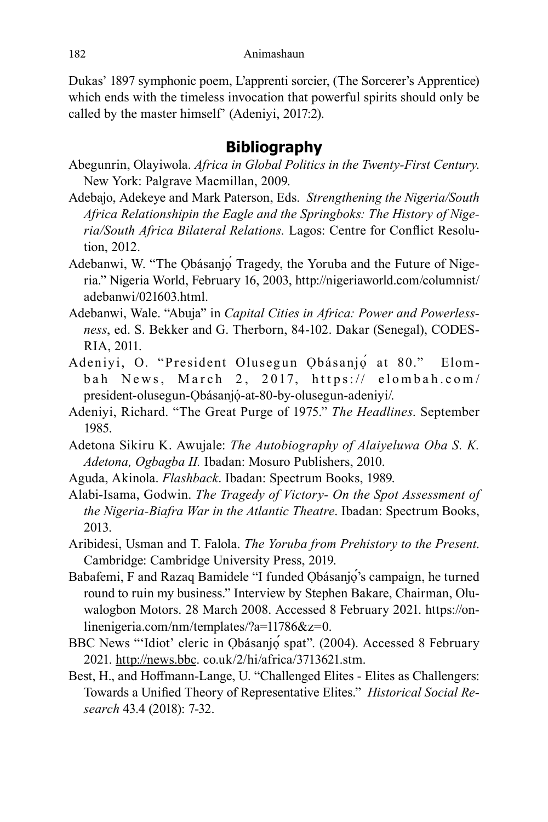Dukas' 1897 symphonic poem, L'apprenti sorcier, (The Sorcerer's Apprentice) which ends with the timeless invocation that powerful spirits should only be called by the master himself' (Adeniyi, 2017:2).

# **Bibliography**

- Abegunrin, Olayiwola. *Africa in Global Politics in the Twenty-First Century*. New York: Palgrave Macmillan, 2009.
- Adebajo, Adekeye and Mark Paterson, Eds. *Strengthening the Nigeria/South Africa Relationshipin the Eagle and the Springboks: The History of Nigeria/South Africa Bilateral Relations.* Lagos: Centre for Conflict Resolution, 2012.
- Adebanwi, W. "The Ọbásanjọ́ Tragedy, the Yoruba and the Future of Nigeria." Nigeria World, February 16, 2003, http://nigeriaworld.com/columnist/ adebanwi/021603.html.
- Adebanwi, Wale. "Abuja" in *Capital Cities in Africa: Power and Powerlessness*, ed. S. Bekker and G. Therborn, 84-102. Dakar (Senegal), CODES-RIA, 2011.
- Adeniyi, O. "President Olusegun Ọbásanjọ́ at 80." Elombah News, March 2, 2017, https:// elombah.com/ president-olusegun-Ọbásanjọ́ -at-80-by-olusegun-adeniyi/.
- Adeniyi, Richard. "The Great Purge of 1975." *The Headlines*. September 1985.
- Adetona Sikiru K. Awujale: *The Autobiography of Alaiyeluwa Oba S. K. Adetona, Ogbagba II.* Ibadan: Mosuro Publishers, 2010.
- Aguda, Akinola. *Flashback*. Ibadan: Spectrum Books, 1989.
- Alabi-Isama, Godwin. *The Tragedy of Victory- On the Spot Assessment of the Nigeria-Biafra War in the Atlantic Theatre*. Ibadan: Spectrum Books, 2013.
- Aribidesi, Usman and T. Falola. *The Yoruba from Prehistory to the Present*. Cambridge: Cambridge University Press, 2019.
- Babafemi, F and Razaq Bamidele "I funded Obásanjo's campaign, he turned round to ruin my business." Interview by Stephen Bakare, Chairman, Oluwalogbon Motors. 28 March 2008. Accessed 8 February 2021. https://onlinenigeria.com/nm/templates/?a=11786&z=0.
- BBC News "'Idiot' cleric in Ọbásanjọ**́** spat". (2004). Accessed 8 February 2021. http://news.bbc. co.uk/2/hi/africa/3713621.stm.
- Best, H., and Hoffmann-Lange, U. "Challenged Elites Elites as Challengers: Towards a Unified Theory of Representative Elites." *Historical Social Research* 43.4 (2018): 7-32.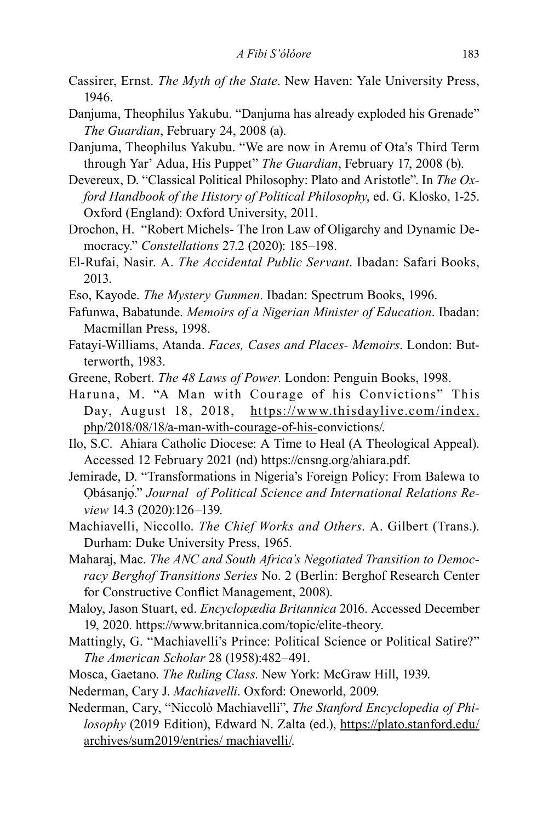- Cassirer, Ernst. *The Myth of the State*. New Haven: Yale University Press, 1946.
- Danjuma, Theophilus Yakubu. "Danjuma has already exploded his Grenade" *The Guardian*, February 24, 2008 (a).
- Danjuma, Theophilus Yakubu. "We are now in Aremu of Ota's Third Term through Yar' Adua, His Puppet" *The Guardian*, February 17, 2008 (b).
- Devereux, D. "Classical Political Philosophy: Plato and Aristotle". In *The Oxford Handbook of the History of Political Philosophy*, ed. G. Klosko, 1-25. Oxford (England): Oxford University, 2011.
- Drochon, H. "Robert Michels- The Iron Law of Oligarchy and Dynamic Democracy." *Constellations* 27.2 (2020): 185–198.
- El-Rufai, Nasir. A. *The Accidental Public Servant*. Ibadan: Safari Books, 2013.
- Eso, Kayode. *The Mystery Gunmen*. Ibadan: Spectrum Books, 1996.
- Fafunwa, Babatunde. *Memoirs of a Nigerian Minister of Education*. Ibadan: Macmillan Press, 1998.
- Fatayi-Williams, Atanda. *Faces, Cases and Places- Memoirs*. London: Butterworth, 1983.
- Greene, Robert. *The 48 Laws of Power*. London: Penguin Books, 1998.
- Haruna, M. "A Man with Courage of his Convictions" This Day, August 18, 2018, https://www.thisdaylive.com/index. php/2018/08/18/a-man-with-courage-of-his-convictions/.
- Ilo, S.C. Ahiara Catholic Diocese: A Time to Heal (A Theological Appeal). Accessed 12 February 2021 (nd) https://cnsng.org/ahiara.pdf.
- Jemirade, D. "Transformations in Nigeria's Foreign Policy: From Balewa to Ọbásanjọ́." *Journal of Political Science and International Relations Review* 14.3 (2020):126–139.
- Machiavelli, Niccollo. *The Chief Works and Others*. A. Gilbert (Trans.). Durham: Duke University Press, 1965.
- Maharaj, Mac. *The ANC and South Africa's Negotiated Transition to Democracy Berghof Transitions Series* No. 2 (Berlin: Berghof Research Center for Constructive Conflict Management, 2008).
- Maloy, Jason Stuart, ed. *Encyclopædia Britannica* 2016. Accessed December 19, 2020. https://www.britannica.com/topic/elite-theory.
- Mattingly, G. "Machiavelli's Prince: Political Science or Political Satire?" *The American Scholar* 28 (1958):482–491.
- Mosca, Gaetano. *The Ruling Class*. New York: McGraw Hill, 1939.
- Nederman, Cary J. *Machiavelli*. Oxford: Oneworld, 2009.
- Nederman, Cary, "Niccolò Machiavelli", *The Stanford Encyclopedia of Philosophy* (2019 Edition), Edward N. Zalta (ed.), https://plato.stanford.edu/ archives/sum2019/entries/ machiavelli/.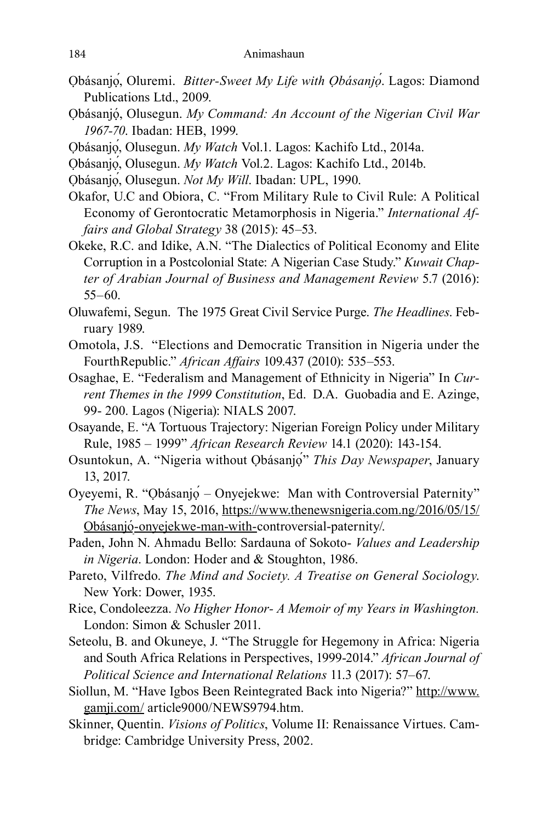- Ọbásanjọ́, Oluremi. *Bitter-Sweet My Life with Ọbásanjọ*́. Lagos: Diamond Publications Ltd., 2009.
- Ọbásanjọ́ , Olusegun. *My Command: An Account of the Nigerian Civil War 1967-70*. Ibadan: HEB, 1999.
- Ọbásanjọ́, Olusegun. *My Watch* Vol.1. Lagos: Kachifo Ltd., 2014a.
- Ọbásanjọ́, Olusegun. *My Watch* Vol.2. Lagos: Kachifo Ltd., 2014b.
- Ọbásanjọ́, Olusegun. *Not My Will*. Ibadan: UPL, 1990.
- Okafor, U.C and Obiora, C. "From Military Rule to Civil Rule: A Political Economy of Gerontocratic Metamorphosis in Nigeria." *International Affairs and Global Strategy* 38 (2015): 45–53.
- Okeke, R.C. and Idike, A.N. "The Dialectics of Political Economy and Elite Corruption in a Postcolonial State: A Nigerian Case Study." *Kuwait Chapter of Arabian Journal of Business and Management Review* 5.7 (2016): 55–60.
- Oluwafemi, Segun. The 1975 Great Civil Service Purge. *The Headlines*. February 1989.
- Omotola, J.S. "Elections and Democratic Transition in Nigeria under the FourthRepublic." *African Affairs* 109.437 (2010): 535–553.
- Osaghae, E. "Federalism and Management of Ethnicity in Nigeria" In *Current Themes in the 1999 Constitution*, Ed. D.A. Guobadia and E. Azinge, 99- 200. Lagos (Nigeria): NIALS 2007.
- Osayande, E. "A Tortuous Trajectory: Nigerian Foreign Policy under Military Rule, 1985 – 1999" *African Research Review* 14.1 (2020): 143-154.
- Osuntokun, A. "Nigeria without Ọbásanjọ́" *This Day Newspaper*, January 13, 2017.
- Oyeyemi, R. "Ọbásanjọ́ Onyejekwe: Man with Controversial Paternity" *The News*, May 15, 2016, https://www.thenewsnigeria.com.ng/2016/05/15/ <u>Obásanjó-onyejekwe-man-with-</u>controversial-paternity/.
- Paden, John N. Ahmadu Bello: Sardauna of Sokoto- *Values and Leadership in Nigeria*. London: Hoder and & Stoughton, 1986.
- Pareto, Vilfredo. *The Mind and Society. A Treatise on General Sociology*. New York: Dower, 1935.
- Rice, Condoleezza. *No Higher Honor- A Memoir of my Years in Washington.* London: Simon & Schusler 2011.
- Seteolu, B. and Okuneye, J. "The Struggle for Hegemony in Africa: Nigeria and South Africa Relations in Perspectives, 1999-2014." *African Journal of Political Science and International Relations* 11.3 (2017): 57–67.
- Siollun, M. "Have Igbos Been Reintegrated Back into Nigeria?" http://www. gamji.com/ article9000/NEWS9794.htm.
- Skinner, Quentin. *Visions of Politics*, Volume II: Renaissance Virtues. Cambridge: Cambridge University Press, 2002.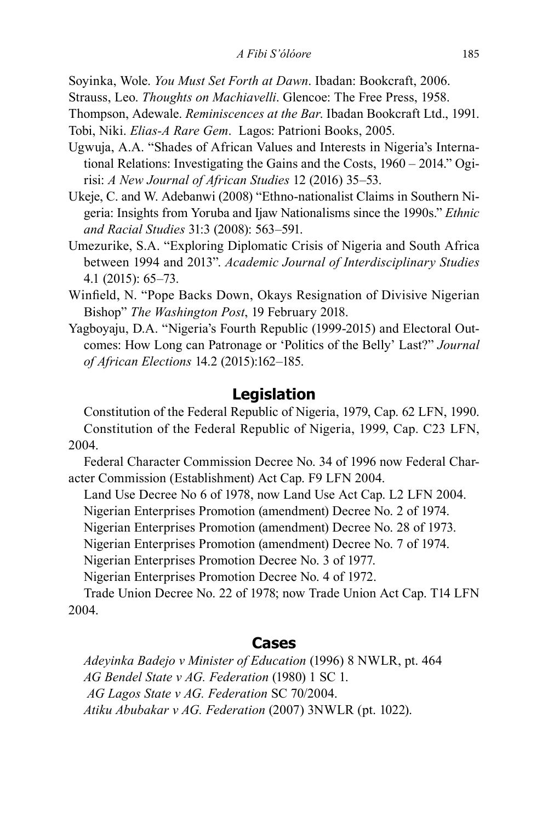Soyinka, Wole. *You Must Set Forth at Dawn*. Ibadan: Bookcraft, 2006.

Strauss, Leo. *Thoughts on Machiavelli*. Glencoe: The Free Press, 1958.

Thompson, Adewale. *Reminiscences at the Bar*. Ibadan Bookcraft Ltd., 1991. Tobi, Niki. *Elias-A Rare Gem*. Lagos: Patrioni Books, 2005.

- Ugwuja, A.A. "Shades of African Values and Interests in Nigeria's International Relations: Investigating the Gains and the Costs, 1960 – 2014." Ogirisi: *A New Journal of African Studies* 12 (2016) 35–53.
- Ukeje, C. and W. Adebanwi (2008) "Ethno-nationalist Claims in Southern Nigeria: Insights from Yoruba and Ijaw Nationalisms since the 1990s." *Ethnic and Racial Studies* 31:3 (2008): 563–591.
- Umezurike, S.A. "Exploring Diplomatic Crisis of Nigeria and South Africa between 1994 and 2013". *Academic Journal of Interdisciplinary Studies* 4.1 (2015): 65–73.
- Winfield, N. "Pope Backs Down, Okays Resignation of Divisive Nigerian Bishop" *The Washington Post*, 19 February 2018.
- Yagboyaju, D.A. "Nigeria's Fourth Republic (1999-2015) and Electoral Outcomes: How Long can Patronage or 'Politics of the Belly' Last?" *Journal of African Elections* 14.2 (2015):162–185.

### **Legislation**

Constitution of the Federal Republic of Nigeria, 1979, Cap. 62 LFN, 1990. Constitution of the Federal Republic of Nigeria, 1999, Cap. C23 LFN, 2004.

Federal Character Commission Decree No. 34 of 1996 now Federal Character Commission (Establishment) Act Cap. F9 LFN 2004.

Land Use Decree No 6 of 1978, now Land Use Act Cap. L2 LFN 2004.

Nigerian Enterprises Promotion (amendment) Decree No. 2 of 1974.

Nigerian Enterprises Promotion (amendment) Decree No. 28 of 1973.

Nigerian Enterprises Promotion (amendment) Decree No. 7 of 1974.

Nigerian Enterprises Promotion Decree No. 3 of 1977.

Nigerian Enterprises Promotion Decree No. 4 of 1972.

Trade Union Decree No. 22 of 1978; now Trade Union Act Cap. T14 LFN 2004.

### **Cases**

*Adeyinka Badejo v Minister of Education* (1996) 8 NWLR, pt. 464 *AG Bendel State v AG. Federation* (1980) 1 SC 1.  *AG Lagos State v AG. Federation* SC 70/2004. *Atiku Abubakar v AG. Federation* (2007) 3NWLR (pt. 1022).